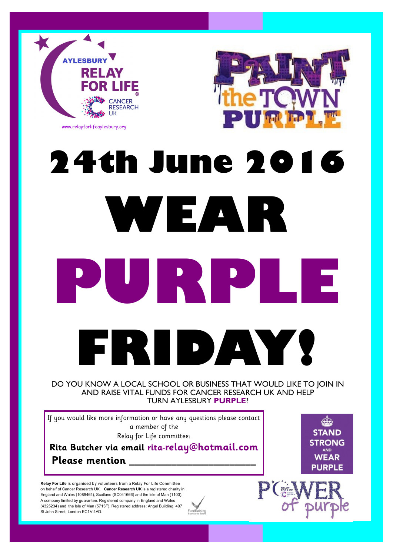



## **24th June 2016 WEAR PURPLE FRIDAY!**

## DO YOU KNOW A LOCAL SCHOOL OR BUSINESS THAT WOULD LIKE TO JOIN IN AND RAISE VITAL FUNDS FOR CANCER RESEARCH UK AND HELP TURN AYLESBURY **PURPLE**?

If you would like more information or have any questions please contact a member of the Relay for Life committee:

**Rita Butcher via email rita-relay@hotmail.com Please mention \_\_\_\_\_\_\_\_\_\_\_\_\_\_\_\_\_\_\_\_\_\_\_\_**

**Relay For Life** is organised by volunteers from a Relay For Life Committee on behalf of Cancer Research UK. **Cancer Research UK** is a registered charity in England and Wales (1089464), Scotland (SC041666) and the Isle of Man (1103). A company limited by guarantee. Registered company in England and Wales (4325234) and the Isle of Man (5713F). Registered address: Angel Building, 407 St John Street, London EC1V 4AD.



**Cate STAND STRONG AND WEAR PURPLE**